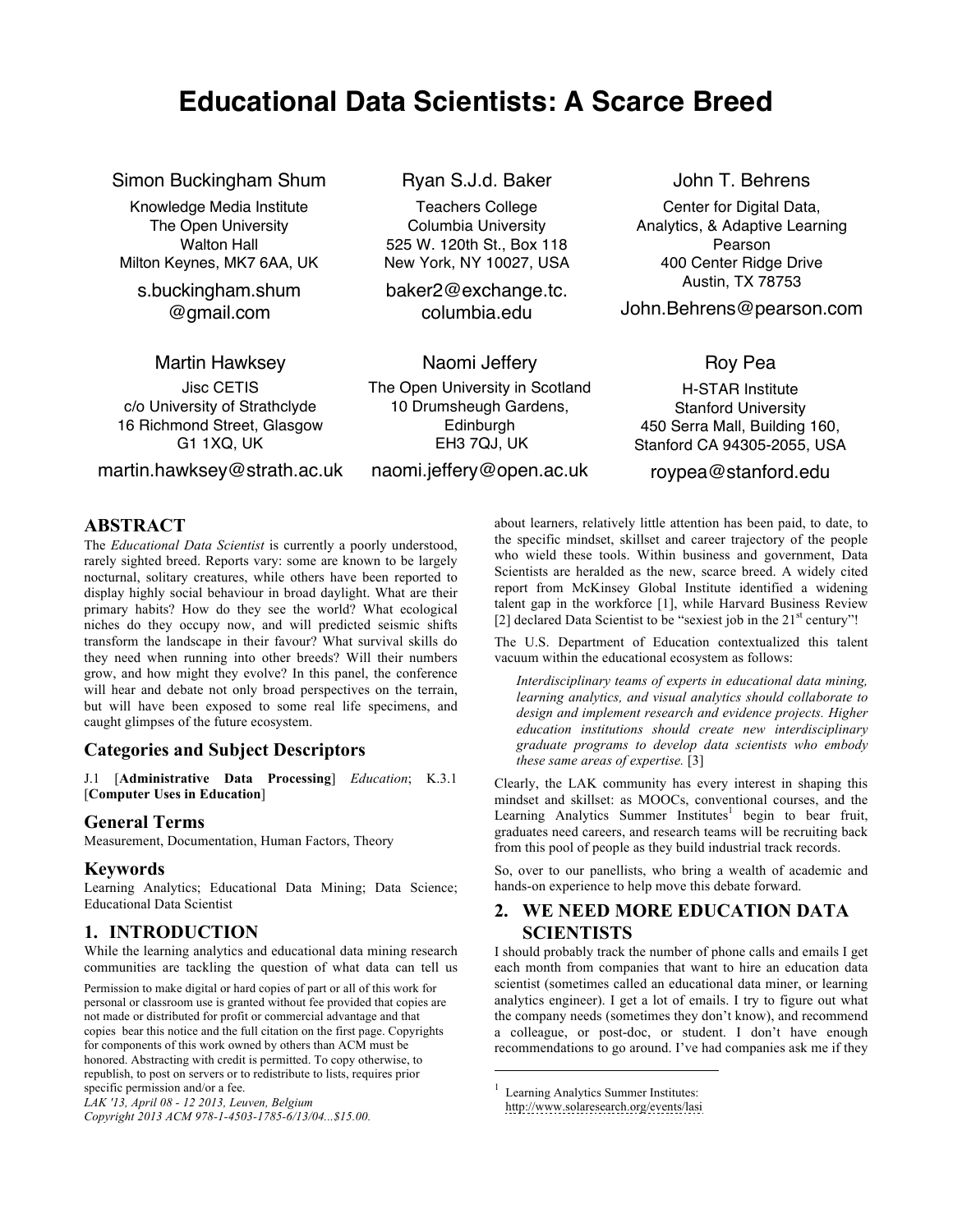# **Educational Data Scientists: A Scarce Breed**

#### Simon Buckingham Shum

Knowledge Media Institute The Open University Walton Hall Milton Keynes, MK7 6AA, UK

s.buckingham.shum @gmail.com

Martin Hawksey

Jisc CETIS c/o University of Strathclyde 16 Richmond Street, Glasgow G1 1XQ, UK

martin.hawksey@strath.ac.uk

Ryan S.J.d. Baker

Teachers College Columbia University 525 W. 120th St., Box 118 New York, NY 10027, USA

baker2@exchange.tc. columbia.edu

## Naomi Jeffery

The Open University in Scotland 10 Drumsheugh Gardens, Edinburgh EH3 7QJ, UK

naomi.jeffery@open.ac.uk

John T. Behrens

Center for Digital Data, Analytics, & Adaptive Learning Pearson 400 Center Ridge Drive Austin, TX 78753

John.Behrens@pearson.com

#### Roy Pea

H-STAR Institute Stanford University 450 Serra Mall, Building 160, Stanford CA 94305-2055, USA

roypea@stanford.edu

## **ABSTRACT**

The *Educational Data Scientist* is currently a poorly understood, rarely sighted breed. Reports vary: some are known to be largely nocturnal, solitary creatures, while others have been reported to display highly social behaviour in broad daylight. What are their primary habits? How do they see the world? What ecological niches do they occupy now, and will predicted seismic shifts transform the landscape in their favour? What survival skills do they need when running into other breeds? Will their numbers grow, and how might they evolve? In this panel, the conference will hear and debate not only broad perspectives on the terrain, but will have been exposed to some real life specimens, and caught glimpses of the future ecosystem.

#### **Categories and Subject Descriptors**

J.1 [**Administrative Data Processing**] *Education*; K.3.1 [**Computer Uses in Education**]

#### **General Terms**

Measurement, Documentation, Human Factors, Theory

#### **Keywords**

Learning Analytics; Educational Data Mining; Data Science; Educational Data Scientist

#### **1. INTRODUCTION**

While the learning analytics and educational data mining research communities are tackling the question of what data can tell us

Permission to make digital or hard copies of part or all of this work for personal or classroom use is granted without fee provided that copies are not made or distributed for profit or commercial advantage and that copies bear this notice and the full citation on the first page. Copyrights for components of this work owned by others than ACM must be honored. Abstracting with credit is permitted. To copy otherwise, to republish, to post on servers or to redistribute to lists, requires prior specific permission and/or a fee.

*LAK '13, April 08 - 12 2013, Leuven, Belgium*

*Copyright 2013 ACM 978-1-4503-1785-6/13/04...\$15.00.*

about learners, relatively little attention has been paid, to date, to the specific mindset, skillset and career trajectory of the people who wield these tools. Within business and government, Data Scientists are heralded as the new, scarce breed. A widely cited report from McKinsey Global Institute identified a widening talent gap in the workforce [1], while Harvard Business Review [2] declared Data Scientist to be "sexiest job in the  $21<sup>st</sup>$  century"!

The U.S. Department of Education contextualized this talent vacuum within the educational ecosystem as follows:

*Interdisciplinary teams of experts in educational data mining, learning analytics, and visual analytics should collaborate to design and implement research and evidence projects. Higher education institutions should create new interdisciplinary graduate programs to develop data scientists who embody these same areas of expertise.* [3]

Clearly, the LAK community has every interest in shaping this mindset and skillset: as MOOCs, conventional courses, and the Learning Analytics Summer Institutes<sup>1</sup> begin to bear fruit, graduates need careers, and research teams will be recruiting back from this pool of people as they build industrial track records.

So, over to our panellists, who bring a wealth of academic and hands-on experience to help move this debate forward.

#### **2. WE NEED MORE EDUCATION DATA SCIENTISTS**

I should probably track the number of phone calls and emails I get each month from companies that want to hire an education data scientist (sometimes called an educational data miner, or learning analytics engineer). I get a lot of emails. I try to figure out what the company needs (sometimes they don't know), and recommend a colleague, or post-doc, or student. I don't have enough recommendations to go around. I've had companies ask me if they

 $\overline{a}$ 

<sup>&</sup>lt;sup>1</sup> Learning Analytics Summer Institutes:

http://www.solaresearch.org/events/lasi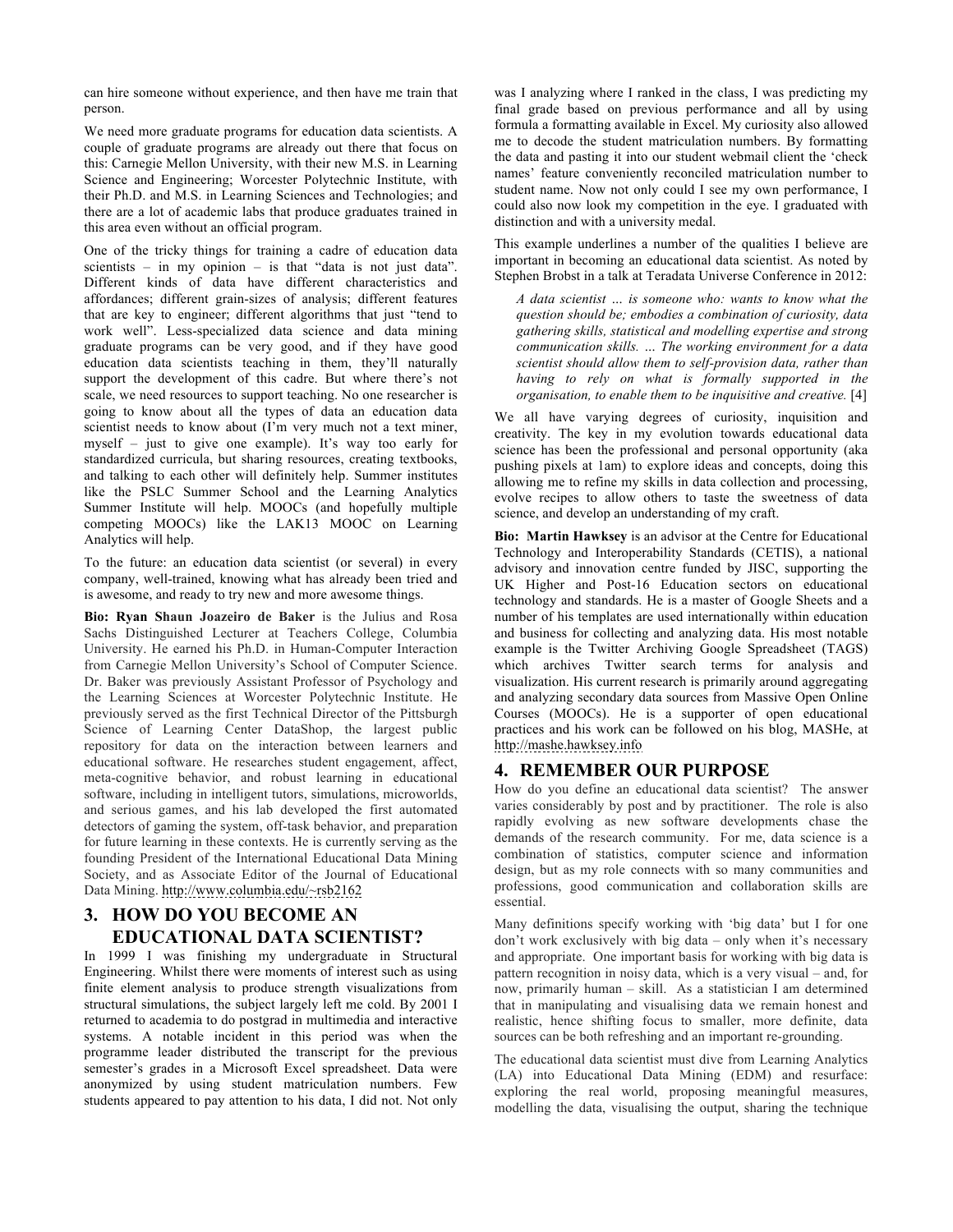can hire someone without experience, and then have me train that person.

We need more graduate programs for education data scientists. A couple of graduate programs are already out there that focus on this: Carnegie Mellon University, with their new M.S. in Learning Science and Engineering; Worcester Polytechnic Institute, with their Ph.D. and M.S. in Learning Sciences and Technologies; and there are a lot of academic labs that produce graduates trained in this area even without an official program.

One of the tricky things for training a cadre of education data scientists – in my opinion – is that "data is not just data". Different kinds of data have different characteristics and affordances; different grain-sizes of analysis; different features that are key to engineer; different algorithms that just "tend to work well". Less-specialized data science and data mining graduate programs can be very good, and if they have good education data scientists teaching in them, they'll naturally support the development of this cadre. But where there's not scale, we need resources to support teaching. No one researcher is going to know about all the types of data an education data scientist needs to know about (I'm very much not a text miner, myself – just to give one example). It's way too early for standardized curricula, but sharing resources, creating textbooks, and talking to each other will definitely help. Summer institutes like the PSLC Summer School and the Learning Analytics Summer Institute will help. MOOCs (and hopefully multiple competing MOOCs) like the LAK13 MOOC on Learning Analytics will help.

To the future: an education data scientist (or several) in every company, well-trained, knowing what has already been tried and is awesome, and ready to try new and more awesome things.

**Bio: Ryan Shaun Joazeiro de Baker** is the Julius and Rosa Sachs Distinguished Lecturer at Teachers College, Columbia University. He earned his Ph.D. in Human-Computer Interaction from Carnegie Mellon University's School of Computer Science. Dr. Baker was previously Assistant Professor of Psychology and the Learning Sciences at Worcester Polytechnic Institute. He previously served as the first Technical Director of the Pittsburgh Science of Learning Center DataShop, the largest public repository for data on the interaction between learners and educational software. He researches student engagement, affect, meta-cognitive behavior, and robust learning in educational software, including in intelligent tutors, simulations, microworlds, and serious games, and his lab developed the first automated detectors of gaming the system, off-task behavior, and preparation for future learning in these contexts. He is currently serving as the founding President of the International Educational Data Mining Society, and as Associate Editor of the Journal of Educational Data Mining.<http://www.columbia.edu/~rsb2162>

# **3. HOW DO YOU BECOME AN EDUCATIONAL DATA SCIENTIST?**

In 1999 I was finishing my undergraduate in Structural Engineering. Whilst there were moments of interest such as using finite element analysis to produce strength visualizations from structural simulations, the subject largely left me cold. By 2001 I returned to academia to do postgrad in multimedia and interactive systems. A notable incident in this period was when the programme leader distributed the transcript for the previous semester's grades in a Microsoft Excel spreadsheet. Data were anonymized by using student matriculation numbers. Few students appeared to pay attention to his data, I did not. Not only

was I analyzing where I ranked in the class, I was predicting my final grade based on previous performance and all by using formula a formatting available in Excel. My curiosity also allowed me to decode the student matriculation numbers. By formatting the data and pasting it into our student webmail client the 'check names' feature conveniently reconciled matriculation number to student name. Now not only could I see my own performance, I could also now look my competition in the eye. I graduated with distinction and with a university medal.

This example underlines a number of the qualities I believe are important in becoming an educational data scientist. As noted by Stephen Brobst in a talk at Teradata Universe Conference in 2012:

*A data scientist … is someone who: wants to know what the question should be; embodies a combination of curiosity, data gathering skills, statistical and modelling expertise and strong communication skills. … The working environment for a data scientist should allow them to self-provision data, rather than having to rely on what is formally supported in the organisation, to enable them to be inquisitive and creative.* [4]

We all have varying degrees of curiosity, inquisition and creativity. The key in my evolution towards educational data science has been the professional and personal opportunity (aka pushing pixels at 1am) to explore ideas and concepts, doing this allowing me to refine my skills in data collection and processing, evolve recipes to allow others to taste the sweetness of data science, and develop an understanding of my craft.

**Bio: Martin Hawksey** is an advisor at the Centre for Educational Technology and Interoperability Standards (CETIS), a national advisory and innovation centre funded by JISC, supporting the UK Higher and Post-16 Education sectors on educational technology and standards. He is a master of Google Sheets and a number of his templates are used internationally within education and business for collecting and analyzing data. His most notable example is the Twitter Archiving Google Spreadsheet (TAGS) which archives Twitter search terms for analysis and visualization. His current research is primarily around aggregating and analyzing secondary data sources from Massive Open Online Courses (MOOCs). He is a supporter of open educational practices and his work can be followed on his blog, MASHe, at <http://mashe.hawksey.info>

## **4. REMEMBER OUR PURPOSE**

How do you define an educational data scientist? The answer varies considerably by post and by practitioner. The role is also rapidly evolving as new software developments chase the demands of the research community. For me, data science is a combination of statistics, computer science and information design, but as my role connects with so many communities and professions, good communication and collaboration skills are essential.

Many definitions specify working with 'big data' but I for one don't work exclusively with big data – only when it's necessary and appropriate. One important basis for working with big data is pattern recognition in noisy data, which is a very visual – and, for now, primarily human – skill. As a statistician I am determined that in manipulating and visualising data we remain honest and realistic, hence shifting focus to smaller, more definite, data sources can be both refreshing and an important re-grounding.

The educational data scientist must dive from Learning Analytics (LA) into Educational Data Mining (EDM) and resurface: exploring the real world, proposing meaningful measures, modelling the data, visualising the output, sharing the technique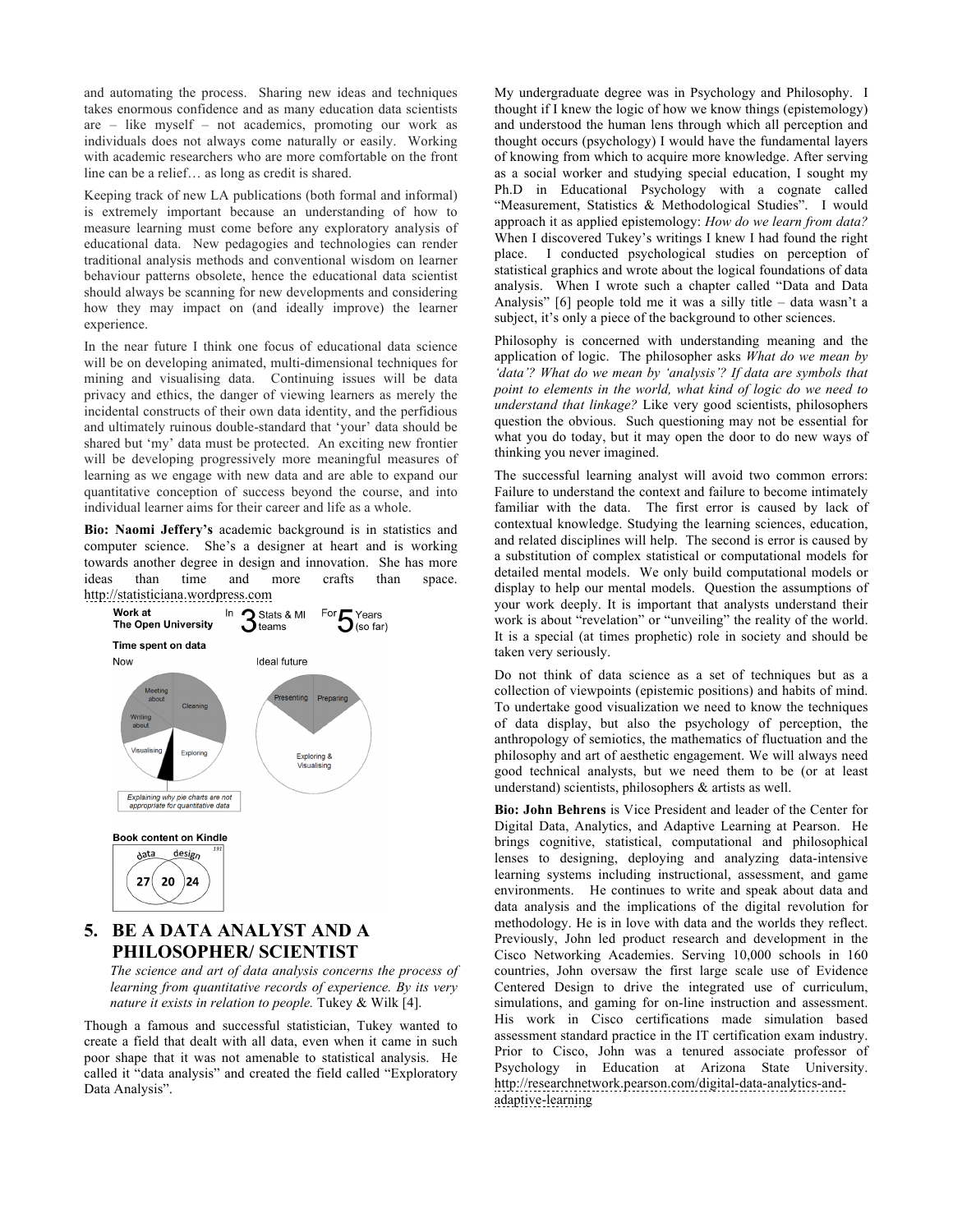and automating the process. Sharing new ideas and techniques takes enormous confidence and as many education data scientists are – like myself – not academics, promoting our work as individuals does not always come naturally or easily. Working with academic researchers who are more comfortable on the front line can be a relief… as long as credit is shared.

Keeping track of new LA publications (both formal and informal) is extremely important because an understanding of how to measure learning must come before any exploratory analysis of educational data. New pedagogies and technologies can render traditional analysis methods and conventional wisdom on learner behaviour patterns obsolete, hence the educational data scientist should always be scanning for new developments and considering how they may impact on (and ideally improve) the learner experience.

In the near future I think one focus of educational data science will be on developing animated, multi-dimensional techniques for mining and visualising data. Continuing issues will be data privacy and ethics, the danger of viewing learners as merely the incidental constructs of their own data identity, and the perfidious and ultimately ruinous double-standard that 'your' data should be shared but 'my' data must be protected. An exciting new frontier will be developing progressively more meaningful measures of learning as we engage with new data and are able to expand our quantitative conception of success beyond the course, and into individual learner aims for their career and life as a whole.

**Bio: Naomi Jeffery's** academic background is in statistics and computer science. She's a designer at heart and is working towards another degree in design and innovation. She has more ideas than time and more crafts than space. <http://statisticiana.wordpress.com>



## **5. BE A DATA ANALYST AND A PHILOSOPHER/ SCIENTIST**

*The science and art of data analysis concerns the process of learning from quantitative records of experience. By its very nature it exists in relation to people.* Tukey & Wilk [4].

Though a famous and successful statistician, Tukey wanted to create a field that dealt with all data, even when it came in such poor shape that it was not amenable to statistical analysis. He called it "data analysis" and created the field called "Exploratory Data Analysis".

My undergraduate degree was in Psychology and Philosophy. I thought if I knew the logic of how we know things (epistemology) and understood the human lens through which all perception and thought occurs (psychology) I would have the fundamental layers of knowing from which to acquire more knowledge. After serving as a social worker and studying special education, I sought my Ph.D in Educational Psychology with a cognate called "Measurement, Statistics & Methodological Studies". I would approach it as applied epistemology: *How do we learn from data?* When I discovered Tukey's writings I knew I had found the right place. I conducted psychological studies on perception of statistical graphics and wrote about the logical foundations of data analysis. When I wrote such a chapter called "Data and Data Analysis" [6] people told me it was a silly title – data wasn't a subject, it's only a piece of the background to other sciences.

Philosophy is concerned with understanding meaning and the application of logic. The philosopher asks *What do we mean by 'data'? What do we mean by 'analysis'? If data are symbols that point to elements in the world, what kind of logic do we need to understand that linkage?* Like very good scientists, philosophers question the obvious. Such questioning may not be essential for what you do today, but it may open the door to do new ways of thinking you never imagined.

The successful learning analyst will avoid two common errors: Failure to understand the context and failure to become intimately familiar with the data. The first error is caused by lack of contextual knowledge. Studying the learning sciences, education, and related disciplines will help. The second is error is caused by a substitution of complex statistical or computational models for detailed mental models. We only build computational models or display to help our mental models. Question the assumptions of your work deeply. It is important that analysts understand their work is about "revelation" or "unveiling" the reality of the world. It is a special (at times prophetic) role in society and should be taken very seriously.

Do not think of data science as a set of techniques but as a collection of viewpoints (epistemic positions) and habits of mind. To undertake good visualization we need to know the techniques of data display, but also the psychology of perception, the anthropology of semiotics, the mathematics of fluctuation and the philosophy and art of aesthetic engagement. We will always need good technical analysts, but we need them to be (or at least understand) scientists, philosophers & artists as well.

**Bio: John Behrens** is Vice President and leader of the Center for Digital Data, Analytics, and Adaptive Learning at Pearson. He brings cognitive, statistical, computational and philosophical lenses to designing, deploying and analyzing data-intensive learning systems including instructional, assessment, and game environments. He continues to write and speak about data and data analysis and the implications of the digital revolution for methodology. He is in love with data and the worlds they reflect. Previously, John led product research and development in the Cisco Networking Academies. Serving 10,000 schools in 160 countries, John oversaw the first large scale use of Evidence Centered Design to drive the integrated use of curriculum, simulations, and gaming for on-line instruction and assessment. His work in Cisco certifications made simulation based assessment standard practice in the IT certification exam industry. Prior to Cisco, John was a tenured associate professor of Psychology in Education at Arizona State University. [http://researchnetwork.pearson.com/digital-data-analytics-and](http://researchnetwork.pearson.com/digital-data-analytics-and-adaptive-learning)adaptive[-learning](http://researchnetwork.pearson.com/digital-data-analytics-and-adaptive-learning)